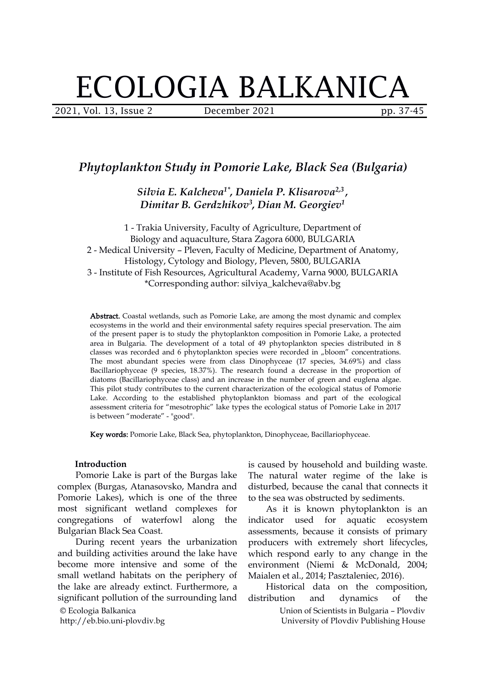# ECOLOGIA BALKANICA

2021, Vol. 13, Issue 2 December 2021 pp. 37-45

# *Phytoplankton Study in Pomorie Lake, Black Sea (Bulgaria)*

*Silvia E. Kalcheva 1\* , Daniela P. Klisarova 2,3 , Dimitar B. Gerdzhikov 3 , Dian M. Georgiev 1*

1 - Trakia University, Faculty of Agriculture, Department of Biology and aquaculture, Stara Zagora 6000, BULGARIA 2 - Medical University – Pleven, Faculty of Medicine, Department of Anatomy, Histology, Cytology and Biology, Pleven, 5800, BULGARIA 3 - Institute of Fish Resources, Agricultural Academy, Varna 9000, BULGARIA \*Corresponding author: silviya\_kalcheva@abv.bg

Abstract. Coastal wetlands, such as Pomorie Lake, are among the most dynamic and complex ecosystems in the world and their environmental safety requires special preservation. The aim of the present paper is to study the phytoplankton composition in Pomorie Lake, a protected area in Bulgaria. The development of a total of 49 phytoplankton species distributed in 8 classes was recorded and 6 phytoplankton species were recorded in "bloom" concentrations. The most abundant species were from class Dinophyceae (17 species, 34.69%) and class Bacillariophyceae (9 species, 18.37%). The research found a decrease in the proportion of diatoms (Bacillariophyceae class) and an increase in the number of green and euglena algae.<br>This pilot study contributes to the current characterization of the ecological status of Pomorie Lake. According to the established phytoplankton biomass and part of the ecological assessment criteria for "mesotrophic" lake types the ecological status of Pomorie Lake in 2017 is between "moderate" - "good".

Key words: Pomorie Lake, Black Sea, phytoplankton, Dinophyceae, Bacillariophyceae.

#### **Introduction**

Pomorie Lake is part of the Burgas lake complex (Burgas, Atanasovsko, Mandra and Pomorie Lakes), which is one of the three most significant wetland complexes for congregations of waterfowl along the Bulgarian Black Sea Coast.

© Ecologia Balkanica During recent years the urbanization and building activities around the lake have become more intensive and some of the small wetland habitats on the periphery of the lake are already extinct. Furthermore, a significant pollution of the surrounding land distribution and dynamics

http://eb.bio.uni-plovdiv.bg

is caused by household and building waste. The natural water regime of the lake is disturbed, because the canal that connects it to the sea was obstructed by sediments.

As it is known phytoplankton is an indicator used for aquatic ecosystem assessments, because it consists of primary producers with extremely short lifecycles, which respond early to any change in the environment (Niemi & McDonald, 2004; Maialen et al., 2014; Pasztaleniec, 2016).

Historical data on the composition, distribution and dynamics of the

Union of Scientists in Bulgaria – Plovdiv University of Plovdiv Publishing House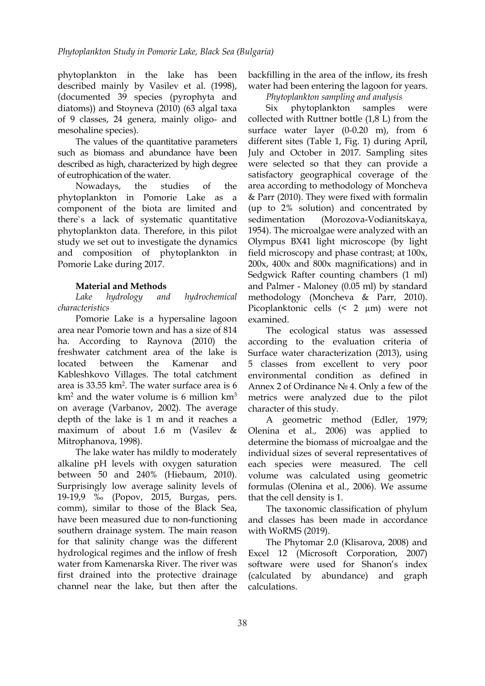phytoplankton in the lake has been described mainly by Vasilev et al. (1998), (documented 39 species (pyrophyta and diatoms)) and Stoyneva (2010) (63 algal taxa of 9 classes, 24 genera, mainly oligo- and mesohaline species).

The values of the quantitative parameters such as biomass and abundance have been described as high, characterized by high degree of eutrophication of the water.

phytoplankton in Pomorie Lake as a component of the biota are limited and there`s a lack of systematic quantitative phytoplankton data. Therefore, in this pilot study we set out to investigate the dynamics and composition of phytoplankton in Pomorie Lake during 2017.

## **Material and Methods**

*Lake hydrology and hydrochemical characteristics*

Pomorie Lake is a hypersaline lagoon area near Pomorie town and has a size of 814 ha. According to Raynova (2010) the freshwater catchment area of the lake is Kableshkovo Villages. The total catchment area is 33.55 km<sup>2</sup>. The water surface area is 6 Annex 2 of Ordina  $km<sup>2</sup>$  and the water volume is 6 million  $km<sup>3</sup>$ on average (Varbanov, 2002). The average depth of the lake is 1 m and it reaches a maximum of about 1.6 m (Vasilev & Mitrophanova, 1998).

The lake water has mildly to moderately alkaline pH levels with oxygen saturation between 50 and 240% (Hiebaum, 2010). Surprisingly low average salinity levels of 19-19,9 ‰ (Popov, 2015, Burgas, pers. comm), similar to those of the Black Sea, have been measured due to non-functioning southern drainage system. The main reason for that salinity change was the different hydrological regimes and the inflow of fresh water from Kamenarska River. The river was first drained into the protective drainage (calculated by channel near the lake, but then after the

backfilling in the area of the inflow, its fresh water had been entering the lagoon for years.

*Phytoplankton sampling and analysis*

Nowadays, the studies of the area according to methodology of Moncheva phytoplankton samples were collected with Ruttner bottle (1,8 L) from the surface water layer (0-0.20 m), from 6 different sites (Table 1, Fig. 1) during April, July and October in 2017. Sampling sites were selected so that they can provide a satisfactory geographical coverage of the & Parr (2010). They were fixed with formalin (up to 2% solution) and concentrated by (Morozova-Vodianitskaya, 1954). The microalgae were analyzed with an Olympus BX41 light microscope (by light field microscopy and phase contrast; at 100x, 200x, 400x and 800x magnifications) and in Sedgwick Rafter counting chambers (1 ml) and Palmer - Maloney (0.05 ml) by standard methodology (Moncheva & Parr, 2010). Picoplanktonic cells (< 2 µm) were not examined.

located between the Kamenar and 5 classes from excellent to very poor The ecological status was assessed according to the evaluation criteria of Surface water characterization (2013), using environmental condition as defined in Annex 2 of Ordinance № 4. Only a few of the metrics were analyzed due to the pilot character of this study.

A geometric method (Edler, 1979; Olenina et al., 2006) was applied to determine the biomass of microalgae and the individual sizes of several representatives of each species were measured. The cell volume was calculated using geometric formulas (Olenina et al., 2006). We assume that the cell density is 1.

The taxonomic classification of phylum and classes has been made in accordance with WoRMS (2019).

The Phytomar 2.0 (Klisarova, 2008) and Excel 12 (Microsoft Corporation, 2007) software were used for Shanon's index abundance) and graph calculations.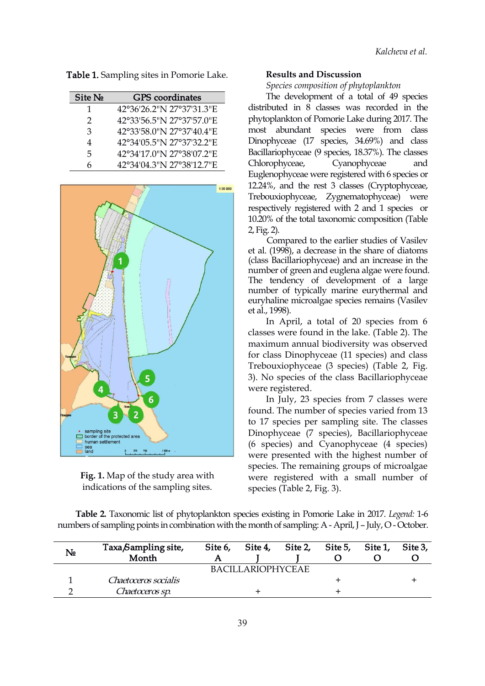Table 1. Sampling sites in Pomorie Lake.

| Site No       | <b>GPS</b> coordinates    |
|---------------|---------------------------|
| 1             | 42°36′26.2″N 27°37′31.3″E |
| $\mathcal{D}$ | 42°33'56.5"N 27°37'57.0"E |
| 3             | 42°33′58.0″N 27°37′40.4″E |
| 4             | 42°34′05.5″N 27°37′32.2″E |
| 5.            | 42°34′17.0″N 27°38′07.2″E |
| 6             | 42°34'04.3"N 27°38'12.7"E |



**Fig. 1.** Map of the study area with indications of the sampling sites.

#### **Results and Discussion**

*Species composition of phytoplankton*

Site № GPS coordinates The development of a total of 49 species 1 42°36'26.2"N 27°37'31.3"E distributed in 8 classes was recorded in the 2 42°33'56.5"N 27°37'57.0"E phytoplankton of Pomorie Lake during 2017. The 3 42°33'58.0"N 27°37'40.4"E most abundant species were from class 4 42°34'05.5"N 27°37'32.2"E Dinophyceae (17 species, 34.69%) and class 5 42°34'17.0"N 27°38'07.2"E Bacillariophyceae (9 species, 18.37%). The classes 6 42°34'04.3"N 27°38'12.7"E Chlorophyceae, Cyanophyceae and Euglenophyceae were registered with 6 species or 12.24%, and the rest 3 classes (Cryptophyceae, Trebouxiophyceae, Zygnematophyceae) were respectively registered with 2 and 1 species or 10.20% of the total taxonomic composition (Table 2, Fig. 2).

Compared to the earlier studies of Vasilev et al. (1998), a decrease in the share of diatoms (class Bacillariophyceae) and an increase in the number of green and euglena algae were found. The tendency of development of a large number of typically marine eurythermal and euryhaline microalgae species remains (Vasilev et al., 1998).

In April, a total of 20 species from 6 classes were found in the lake. (Table 2). The maximum annual biodiversity was observed for class Dinophyceae (11 species) and class Trebouxiophyceae (3 species) (Table 2, Fig. 3). No species of the class Bacillariophyceae were registered.

In July, 23 species from 7 classes were found. The number of species varied from 13 to 17 species per sampling site. The classes Dinophyceae (7 species), Bacillariophyceae (6 species) and Cyanophyceae (4 species) were presented with the highest number of species. The remaining groups of microalgae were registered with a small number of species (Table 2, Fig. 3).

**Table 2.** Taxonomic list of phytoplankton species existing in Pomorie Lake in 2017. *Legend:* 1-6 numbers of sampling points in combination with the month of sampling: A - April, J – July, O - October.

| N <sub>o</sub> | Taxa Sampling site,<br>Month | Site 6,<br>A | Site 4,           | Site 2, | Site 5, | Site 1, | Site 3, |
|----------------|------------------------------|--------------|-------------------|---------|---------|---------|---------|
|                |                              |              | BACILLARIOPHYCEAE |         |         |         |         |
|                | Chaetoceros socialis         |              |                   |         |         |         |         |
|                | Chaetoceros sp.              |              |                   |         |         |         |         |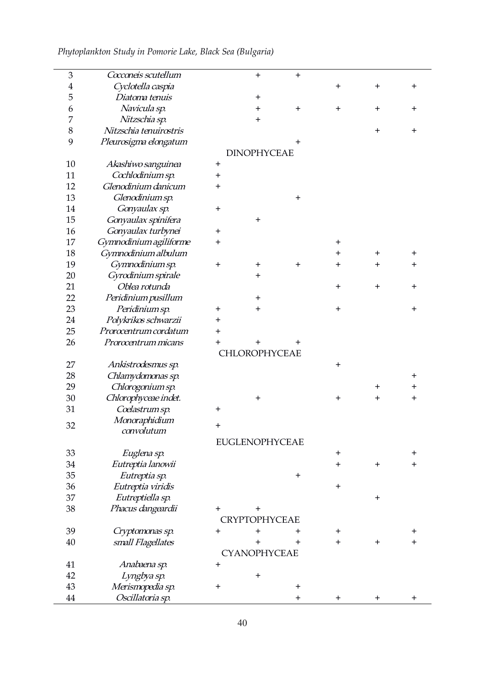*Phytoplankton Study in Pomorie Lake,Black Sea (Bulgaria)*

 $\overline{\phantom{0}}$ 

 $\overline{a}$ 

| $\mathfrak{B}$ | Coconeis scutellum     |              | $\pm$                 | $\pm$    |                  |              |              |
|----------------|------------------------|--------------|-----------------------|----------|------------------|--------------|--------------|
| 4              | Cyclotella caspia      |              |                       |          | $\ddot{}$        | $\mathrm{+}$ | $\ddag$      |
| 5              | Diatoma tenuis         |              | $\mathbf +$           |          |                  |              |              |
| 6              | Navicula sp.           |              | $\bf{+}$              | $\pm$    | $\pm$            | $\pm$        | $\ddot{}$    |
| 7              | Nitzschia sp.          |              | $\pm$                 |          |                  |              |              |
| $8\,$          | Nitzschia tenuirostris |              |                       |          |                  | $\mathrm{+}$ | $\pm$        |
| 9              | Pleurosigma elongatum  |              |                       |          |                  |              |              |
|                |                        |              | <b>DINOPHYCEAE</b>    |          |                  |              |              |
| $10\,$         | Akashiwo sanguinea     | $\ddot{}$    |                       |          |                  |              |              |
| 11             | Cochlodinium sp.       | $\bf{+}$     |                       |          |                  |              |              |
| 12             | Glenodinium danicum    | $\pm$        |                       |          |                  |              |              |
| 13             | Glenodinium sp.        |              |                       | $\pm$    |                  |              |              |
| 14             | Gonyaulax sp.          | $\pm$        |                       |          |                  |              |              |
| 15             | Gonyaulax spinifera    |              | $\pmb{+}$             |          |                  |              |              |
| 16             | Gonyaulax turbynei     | $+$          |                       |          |                  |              |              |
| 17             | Gymnodinium agiliforme | $\ddot{}$    |                       |          | $\pmb{+}$        |              |              |
| 18             | Gymnodinium albulum    |              |                       |          | $\mathrm{+}$     | $\pm$        | $\mathrm{+}$ |
| 19             | Gymnodinium sp.        | $+$          | $\mathbf +$           | $+$      | $\pm$            | $\ddot{}$    | $\ddot{}$    |
| 20             | Gyrodinium spirale     |              | $\mathrm{+}$          |          |                  |              |              |
|                | Oblea rotunda          |              |                       |          |                  |              |              |
| 21             |                        |              |                       |          | $\pm$            | $\mathrm{+}$ | $\ddot{}$    |
| 22             | Peridinium pusillum    |              | $\mathrm{+}$          |          |                  |              |              |
| 23             | Peridinium sp.         | $\bf{+}$     | $\bm{+}$              |          | $\pm$            |              | $\mathrm{+}$ |
| 24             | Polykrikos schwarzii   | $\ddot{}$    |                       |          |                  |              |              |
| 25             | Prorocentrum cordatum  | $\mathrm{+}$ |                       |          |                  |              |              |
| 26             | Prorocentrum micans    | $\mathrm{+}$ |                       |          |                  |              |              |
|                |                        |              | CHLOROPHYCEAE         |          |                  |              |              |
| 27             | Ankistrodesmus sp.     |              |                       |          | $\pm$            |              |              |
| 28             | Chlamydomonas sp.      |              |                       |          |                  |              | $\bm{+}$     |
| 29             | Chlorogonium sp.       |              |                       |          |                  | $\mathrm{+}$ | $\bm{+}$     |
| 30             | Chlorophyceae indet.   |              | $\mathrm{+}$          |          | $\ddot{}$        | $\mathrm{+}$ | $\ddot{}$    |
| 31             | Coelastrum sp.         | $\ddot{}$    |                       |          |                  |              |              |
| 32             | Monoraphidium          | $+$          |                       |          |                  |              |              |
|                | convolutum             |              |                       |          |                  |              |              |
|                |                        |              | <b>EUGLENOPHYCEAE</b> |          |                  |              |              |
| 33             | Euglena sp.            |              |                       |          | $\pm$            |              | $\mathrm{+}$ |
| 34             | Eutreptia lanowii      |              |                       |          | $+$              | $+$          | $\ddot{}$    |
| 35             | Eutreptia sp.          |              |                       | $+$      |                  |              |              |
| 36             | Eutreptia viridis      |              |                       |          | $\boldsymbol{+}$ |              |              |
| 37             | Eutreptiella sp.       |              |                       |          |                  | $\ddag$      |              |
| 38             | Phacus dangeardii      | $+$          | $\bm{+}$              |          |                  |              |              |
|                |                        |              | <b>CRYPTOPHYCEAE</b>  |          |                  |              |              |
| 39             | Cryptomonas sp.        | $\ddot{}$    | $\ddot{}$             | $\bm{+}$ | $\pm$            |              | $\bm{+}$     |
| $40\,$         | small Flagellates      |              | $\ddot{}$             | $+$      | $\ddot{}$        | $+$          | $\ddot{}$    |
|                |                        |              | <b>CYANOPHYCEAE</b>   |          |                  |              |              |
| 41             | Anabaena sp.           | $\pm$        |                       |          |                  |              |              |
|                | Lyngbya sp.            |              | $\ddag$               |          |                  |              |              |
| 42             |                        |              |                       |          |                  |              |              |
| 43             | Merismopedia sp.       | $\ddot{}$    |                       | $+$      |                  |              |              |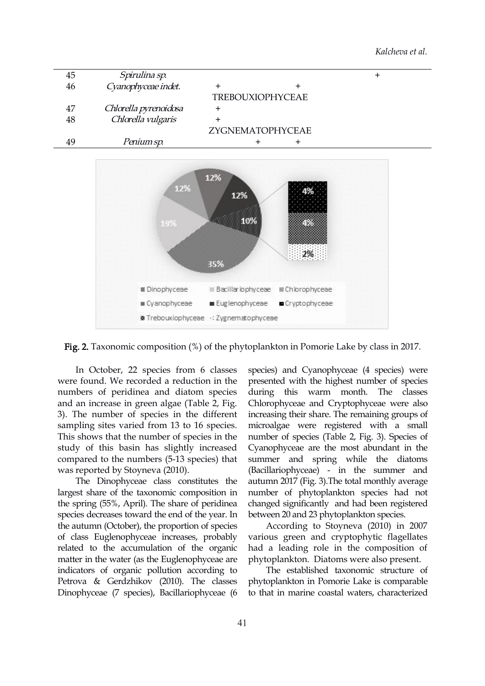



Fig. 2. Taxonomic composition (%) of the phytoplankton in Pomorie Lake by class in 2017.

In October, 22 species from 6 classes were found. We recorded a reduction in the numbers of peridinea and diatom species and an increase in green algae (Table 2, Fig. 3). The number of species in the different sampling sites varied from 13 to 16 species. This shows that the number of species in the study of this basin has slightly increased compared to the numbers (5-13 species) that was reported by Stoyneva (2010).

The Dinophyceae class constitutes the largest share of the taxonomic composition in the spring (55%, April). The share of peridinea species decreases toward the end of the year. In the autumn (October), the proportion of species of class Euglenophyceae increases, probably related to the accumulation of the organic matter in the water (as the Euglenophyceae are indicators of organic pollution according to Petrova & Gerdzhikov (2010). The classes Dinophyceae (7 species), Bacillariophyceae (6

species) and Cyanophyceae (4 species) were presented with the highest number of species during this warm month. The classes Chlorophyceae and Cryptophyceae were also increasing their share. The remaining groups of microalgae were registered with a small number of species (Table 2, Fig. 3). Species of Cyanophyceae are the most abundant in the summer and spring while the diatoms (Bacillariophyceae) - in the summer and autumn 2017 (Fig. 3).The total monthly average number of phytoplankton species had not changed significantly and had been registered between 20 and 23 phytoplankton species.

According to Stoyneva (2010) in 2007 various green and cryptophytic flagellates had a leading role in the composition of phytoplankton. Diatoms were also present.

The established taxonomic structure of phytoplankton in Pomorie Lake is comparable to that in marine coastal waters, characterized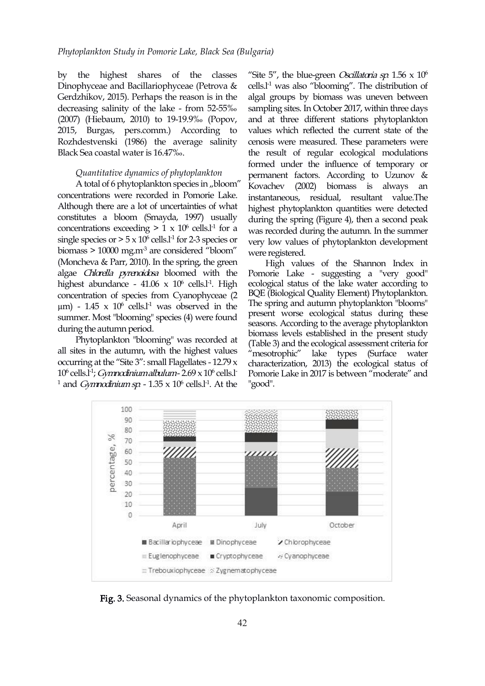by the highest shares of the classes Dinophyceae and Bacillariophyceae (Petrova & Gerdzhikov, 2015). Perhaps the reason is in the (2007) (Hiebaum, 2010) to 19-19.9‰ (Popov, 2015, Burgas, pers.comm.) According to Rozhdestvenski (1986) the average salinity Black Sea coastal water is 16.47‰.

#### *Quantitative dynamics of phytoplankton*

A total of 6 phytoplankton species in "bloom"  $\overline{K}$  Kovachev (2002) concentrations were recorded in Pomorie Lake. Although there are a lot of uncertainties of what constitutes a bloom (Smayda, 1997) usually concentrations exceeding  $> 1 \times 10^6$  cells.<sup>11</sup> for a was re single species or  $> 5 \times 10^6$  cells.<sup>1-1</sup> for 2-3 species or very low value biomass  $> 10000$  mg.m<sup>-3</sup> are considered "bloom" were registered. (Moncheva & Parr, 2010). In the spring, the green algae Chlorella pyrenoidosa bloomed with the highest abundance -  $41.06 \times 10^6$  cells.<sup>1-1</sup>. High ecolo concentration of species from Cyanophyceae (2  $\mu$ m) - 1.45 x 10<sup>6</sup> cells.<sup>11</sup> was observed in the 1he spring and auto summer. Most "blooming" species (4) were found during the autumn period.

Phytoplankton "blooming" was recorded at all sites in the autumn, with the highest values occurring at the "Site 3": small Flagellates - 12.79 x 10<sup>6</sup> cells.l<sup>-1</sup>; *Gymnodinium albulum* - 2.69 x 10<sup>6</sup> cells.l<sup>-</sup> Pomorie Lake <sup>1</sup> and *Gymnodinium sp.* -  $1.35 \times 10^6$  cells.1<sup>-1</sup>. At the "good".

decreasing salinity of the lake - from 52-55‰ sampling sites. In October 2017, within three days  $^{-1}$  for a was recorded during the autumn. In the summer "Site 5", the blue-green *Oscillatoria sp.*  $1.56 \times 10^6$  $6\,$ cells.l -1 was also "blooming". The distribution of algal groups by biomass was uneven between and at three different stations phytoplankton values which reflected the current state of the cenosis were measured. These parameters were the result of regular ecological modulations formed under the influence of temporary or permanent factors. According to Uzunov & biomass is always an instantaneous, residual, resultant value.The highest phytoplankton quantities were detected during the spring (Figure 4), then a second peak very low values of phytoplankton development

> .High ecological status of the lake water according to <sup>6</sup> cells.l - Pomorie Lake in 2017 is between "moderate" and High values of the Shannon Index in Pomorie Lake - suggesting a "very good" BQE (Biological Quality Element) Phytoplankton. The spring and autumn phytoplankton "blooms" present worse ecological status during these seasons. According to the average phytoplankton biomass levels established in the present study (Table 3) and the ecological assessment criteria for "mesotrophic" lake types (Surface water characterization, 2013) the ecological status of "good".



Fig. 3. Seasonal dynamics of the phytoplankton taxonomic composition.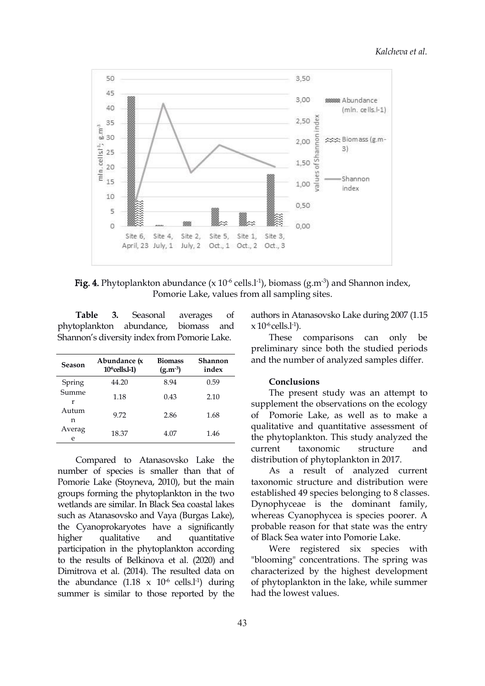

**Fig. 4.** Phytoplankton abundance (x  $10^{-6}$  cells.l<sup>-1</sup>), biomass (g.m<sup>-3</sup>) and Shannon index, Pomorie Lake, values from all sampling sites.

phytoplankton abundance, biomass and Shannon's diversity index from Pomorie Lake.

| Season      | Abundance (x<br>$106$ cells.1-1) | <b>Biomass</b><br>$(g.m^{-3})$ | Shannon<br>index | and the nu                |
|-------------|----------------------------------|--------------------------------|------------------|---------------------------|
| Spring      | 44.20                            | 8.94                           | 0.59             | Concl                     |
| Summe<br>r  | 1.18                             | 0.43                           | 2.10             | The $r$<br>supplemer      |
| Autum<br>n  | 9.72                             | 2.86                           | 1.68             | Pomo<br>Ω£                |
| Averag<br>e | 18.37                            | 4.07                           | 1.46             | qualitative<br>the phytor |

Compared to Atanasovsko Lake the number of species is smaller than that of Pomorie Lake (Stoyneva, 2010), but the main groups forming the phytoplankton in the two wetlands are similar. In Black Sea coastal lakes such as Atanasovsko and Vaya (Burgas Lake), the Cyanoprokaryotes have a significantly higher qualitative and quantitative of Black Sea water into Pomorie Lake. participation in the phytoplankton according to the results of Belkinova et al.(2020) and Dimitrova et al.(2014). The resulted data on the abundance  $(1.18 \times 10^6 \text{ cells.}1^1)$  during summer is similar to those reported by the

**Table 3.** Seasonal averages of authors in Atanasovsko Lake during 2007 (1.15  $\times$  10<sup>-6</sup> cells.l<sup>-1</sup>).

> **Shannon** and the number of analyzed samples differ. comparisons can only be preliminary since both the studied periods

#### **Conclusions**

9.72 2.86 1.68 of Pomorie Lake, as well as to make a e 18.37 4.07 1.46 the phytoplankton. This study analyzed the The present study was an attempt to supplement the observations on the ecology qualitative and quantitative assessment of current taxonomic structure and distribution of phytoplankton in 2017.

> As a result of analyzed current taxonomic structure and distribution were established 49 species belonging to 8 classes. Dynophyceae is the dominant family, whereas Cyanophycea is species poorer. A probable reason for that state was the entry

-1) during of phytoplankton in the lake, while summer Were registered six species with "blooming" concentrations. The spring was characterized by the highest development had the lowest values.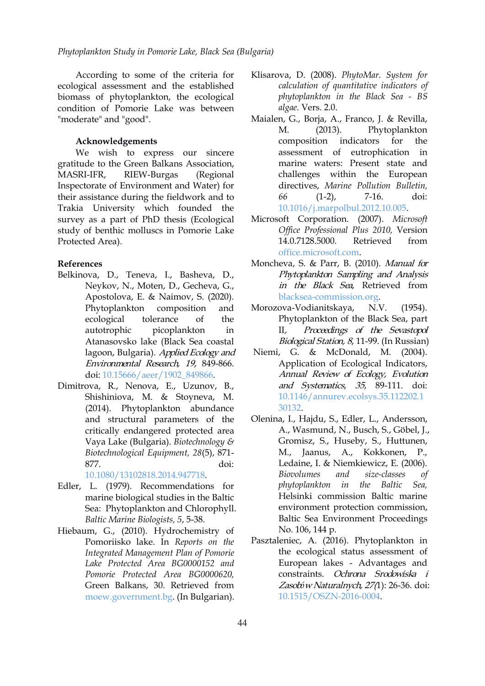According to some of the criteria for ecological assessment and the established biomass of phytoplankton, the ecological condition of Pomorie Lake was between "moderate" and "good".

#### **Acknowledgements**

We wish to express our sincere gratitude to the Green Balkans Association, MASRI-IFR, RIEW-Burgas (Regional Inspectorate of Environment and Water) for their assistance during the fieldwork and to Trakia University which founded the survey as a part of PhD thesis (Ecological study of benthic molluscs in Pomorie Lake Protected Area).

### **References**

- Belkinova, D., Teneva, I., Basheva, D., Neykov, N., Moten, D., Gecheva, G., Apostolova, E. & Naimov, S. (2020). ecological tolerance of the autotrophic picoplankton in Atanasovsko lake (Black Sea coastal lagoon, Bulgaria). Applied Ecology and Environmental Research, 19, 849-866. doi: [10.15666/aeer/1902\\_849866](https://doi.org/10.15666/aeer/1902_849866).
- Dimitrova, R., Nenova, E., Uzunov, B., Shishiniova, M. & Stoyneva, M. (2014). Phytoplankton abundance and structural parameters of the critically endangered protected area Vaya Lake (Bulgaria). *Biotechnology & Biotechnological Equipment, 28*(5), 871- 877. doi:

[10.1080/13102818.2014.947718.](https://doi.org/10.1080/13102818.2014.947718)

- Edler, L. (1979). Recommendations for marine biological studies in the Baltic Sea: Phytoplankton and Chlorophyll. *Baltic Marine Biologists, 5*, 5-38.
- Hiebaum, G., (2010). Hydrochemistry of Pomoriisko lake. In *Reports on the Integrated Management Plan of Pomorie Lake Protected Area BG0000152 and Pomorie Protected Area BG0000620,* Green Balkans, 30. Retrieved from [moew.government.bg.](https://www.moew.government.bg/static/media/ups/tiny/file/Press/aktualno/2009/PU_Pomoriisko_ezero.pdf) (In Bulgarian).
- Klisarova, D. (2008). *PhytoMar. System for calculation of quantitative indicators of phytoplankton in the Black Sea - BS algae.* Vers. 2.0.
- Maialen, G., Borja, А., Franco, J. & Revilla, M. (2013). Phytoplankton composition indicators for the assessment of eutrophication in marine waters: Present state and challenges within the European directives, *Marine Pollution Bulletin, 66* (1-2), 7-16. doi: [10.1016/j.marpolbul.2012.10.005.](https://doi.org/10.1016/j.marpolbul.2012.10.005)
- Microsoft Corporation. (2007). *Microsoft Of ice Professional Plus 2010,* Version 14.0.7128.5000. Retrieved from [office.microsoft.com.](https://office.microsoft.com)
- Moncheva, S. & Parr, B. (2010). Manual for Phytoplankton Sampling and Analysis in the Black Sea, Retrieved from [blacksea-commission.org.](http://www.blacksea-commission.org/Downloads/Phytoplankton_%20Mannual-Final-1.pdf)
- Phytoplankton composition and Morozova-Vodianitskaya, N.V. (1954). Phytoplankton of the Black Sea, part Proceedings of the Sevastopol Biological Station, <sup>8</sup>, 11-99. (In Russian)
	- Niemi, G. & McDonald, M. (2004). Application of Ecological Indicators, Annual Review of Ecology, Evolution and Systematics, <sup>35</sup>, 89-111. doi: [10.1146/annurev.ecolsys.35.112202.1](https://doi.org/10.1146/annurev.ecolsys.35.112202.130132) 30132.
	- Olenina, I., Hajdu, S., Edler, L., Andersson, A., Wasmund, N., Busch, S., Göbel, J., Gromisz, S., Huseby, S., Huttunen, M., Jaanus, A., Kokkonen, P., Ledaine, I. & Niemkiewicz, E. (2006). *Biovolumes and size-classes of phytoplankton in the Baltic Sea,* Helsinki commission Baltic marine environment protection commission, Baltic Sea Environment Proceedings No. 106, 144 p.
	- Pasztaleniec, A. (2016). Phytoplankton in the ecological status assessment of European lakes - Advantages and constraints. Ochrona Srodowiska <sup>i</sup> Zasobów Naturalnych, 27(1): 26-36. doi: [10.1515/OSZN-2016-0004.](https://doi.org/10.1515/OSZN-2016-0004)